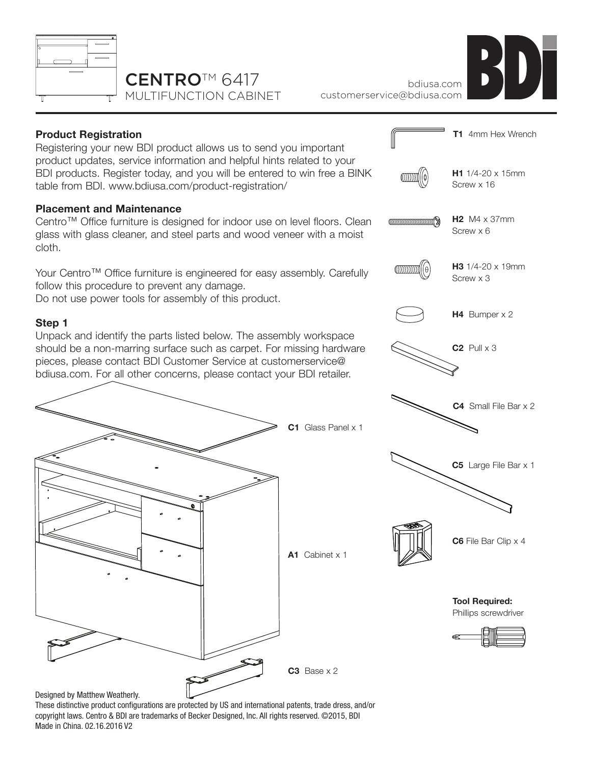

## CENTRO™ 6417 MULTIFUNCTION CABINET



bdiusa.com customerservice@bdiusa.com



These distinctive product configurations are protected by US and international patents, trade dress, and/or copyright laws. Centro & BDI are trademarks of Becker Designed, Inc. All rights reserved. ©2015, BDI Made in China. 02.16.2016 V2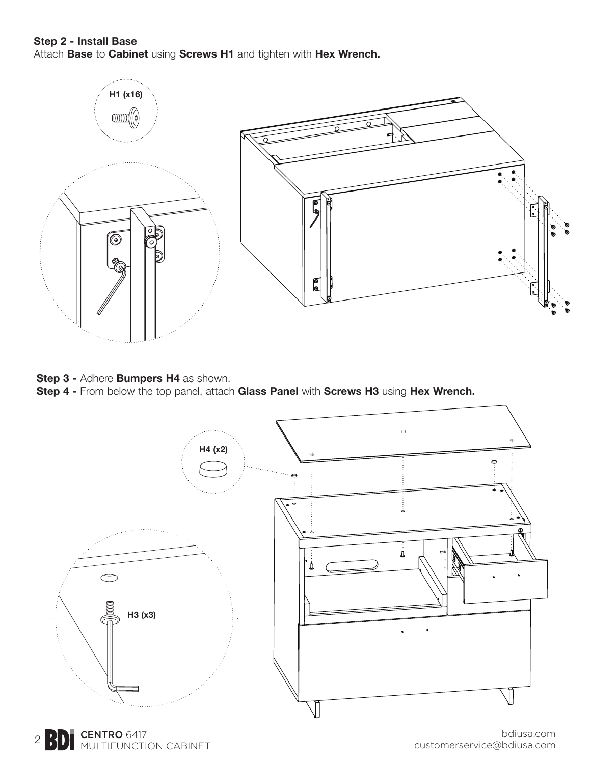## **Step 2 - Install Base**

Attach **Base** to **Cabinet** using **Screws H1** and tighten with **Hex Wrench.**



**Step 3 -** Adhere **Bumpers H4** as shown.

**Step 4 -** From below the top panel, attach **Glass Panel** with **Screws H3** using **Hex Wrench.**



2 **BD** CENTRO 6417<br>MULTIFUNCTION CABINET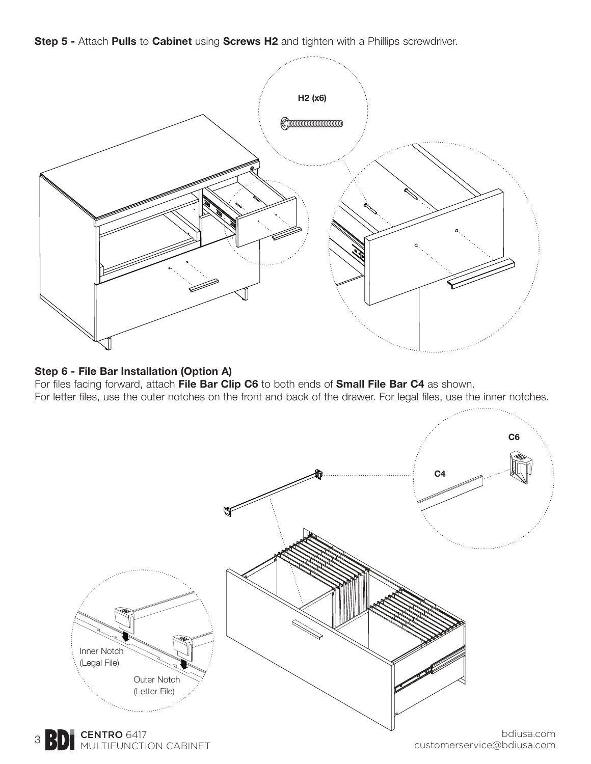**Step 5 -** Attach **Pulls** to **Cabinet** using **Screws H2** and tighten with a Phillips screwdriver.



## **Step 6 - File Bar Installation (Option A)**

For files facing forward, attach **File Bar Clip C6** to both ends of **Small File Bar C4** as shown. For letter files, use the outer notches on the front and back of the drawer. For legal files, use the inner notches.